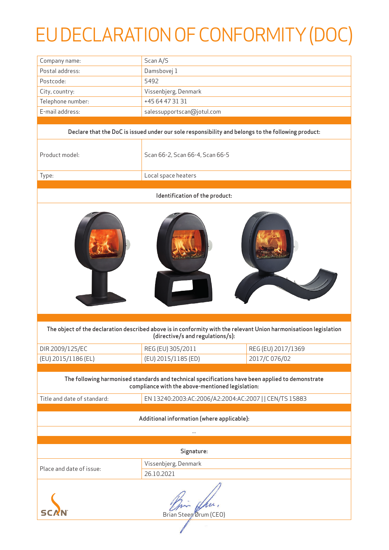## EU DECLARATION OF CONFORMITY (DOC)

| Company name:                                                                                                                                         | Scan A/S                                               |                    |  |  |
|-------------------------------------------------------------------------------------------------------------------------------------------------------|--------------------------------------------------------|--------------------|--|--|
| Postal address:                                                                                                                                       | Damsbovej 1                                            |                    |  |  |
| Postcode:                                                                                                                                             | 5492                                                   |                    |  |  |
| City, country:                                                                                                                                        | Vissenbjerg, Denmark                                   |                    |  |  |
| Telephone number:                                                                                                                                     | +45 64 47 31 31                                        |                    |  |  |
| E-mail address:                                                                                                                                       | salessupportscan@jotul.com                             |                    |  |  |
|                                                                                                                                                       |                                                        |                    |  |  |
| Declare that the DoC is issued under our sole responsibility and belongs to the following product:                                                    |                                                        |                    |  |  |
| Product model:                                                                                                                                        | Scan 66-2, Scan 66-4, Scan 66-5                        |                    |  |  |
| Type:                                                                                                                                                 | Local space heaters                                    |                    |  |  |
| Identification of the product:                                                                                                                        |                                                        |                    |  |  |
|                                                                                                                                                       |                                                        |                    |  |  |
| The object of the declaration described above is in conformity with the relevant Union harmonisatioon legislation<br>(directive/s and regulations/s): |                                                        |                    |  |  |
| DIR 2009/125/EC                                                                                                                                       | REG (EU) 305/2011                                      | REG (EU) 2017/1369 |  |  |
| (EU) 2015/1186 (EL)                                                                                                                                   | (EU) 2015/1185 (ED)                                    | 2017/C 076/02      |  |  |
|                                                                                                                                                       |                                                        |                    |  |  |
| The following harmonised standards and technical specifications have been applied to demonstrate<br>compliance with the above-mentioned legislation:  |                                                        |                    |  |  |
| Title and date of standard:                                                                                                                           | EN 13240:2003:AC:2006/A2:2004:AC:2007     CEN/TS 15883 |                    |  |  |
| Additional information (where applicable):                                                                                                            |                                                        |                    |  |  |
| $\cdots$                                                                                                                                              |                                                        |                    |  |  |
| Signature:                                                                                                                                            |                                                        |                    |  |  |
|                                                                                                                                                       | Vissenbjerg, Denmark                                   |                    |  |  |
| Place and date of issue:                                                                                                                              | 26.10.2021                                             |                    |  |  |
| Brian Steen Ørum (CEO)                                                                                                                                |                                                        |                    |  |  |
|                                                                                                                                                       |                                                        |                    |  |  |